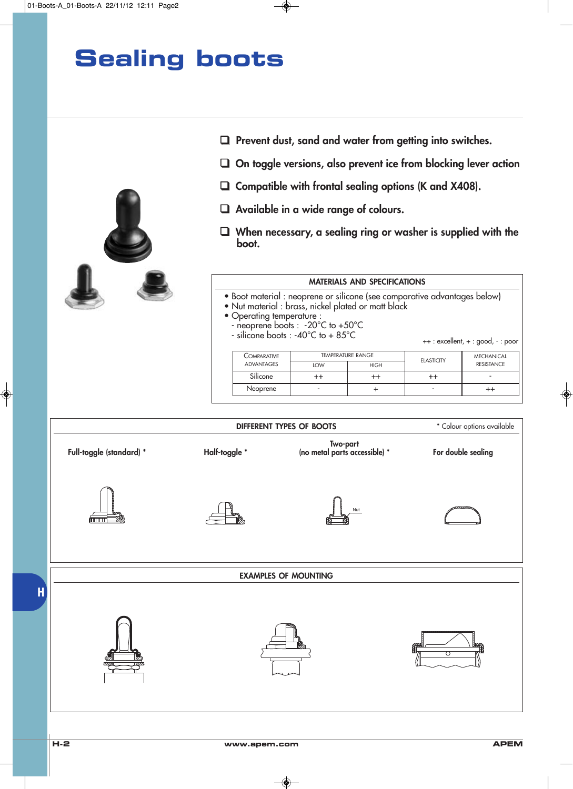

- ❑ Prevent dust, sand and water from getting into switches.
- ❑ On toggle versions, also prevent ice from blocking lever action
- $\Box$  Compatible with frontal sealing options (K and X408).
- ❑ Available in a wide range of colours.
- ❑ When necessary, a sealing ring or washer is supplied with the boot.

#### MATERIALS AND SPECIFICATIONS

- Boot material : neoprene or silicone (see comparative advantages below)
- Nut material : brass, nickel plated or matt black
- Operating temperature :
	- neoprene boots : -20°C to +50°C
- silicone boots : -40°C to + 85°C

++ : excellent, + : good, - : poor

| COMPARATIVE | <b>TEMPERATURE RANGE</b> |             | <b>ELASTICITY</b> | <b>MECHANICAL</b> |  |
|-------------|--------------------------|-------------|-------------------|-------------------|--|
| ADVANTAGES  | LOW                      | <b>HIGH</b> |                   | <b>RESISTANCE</b> |  |
| Silicone    |                          |             |                   | -                 |  |
| Neoprene    | -                        |             | -                 |                   |  |

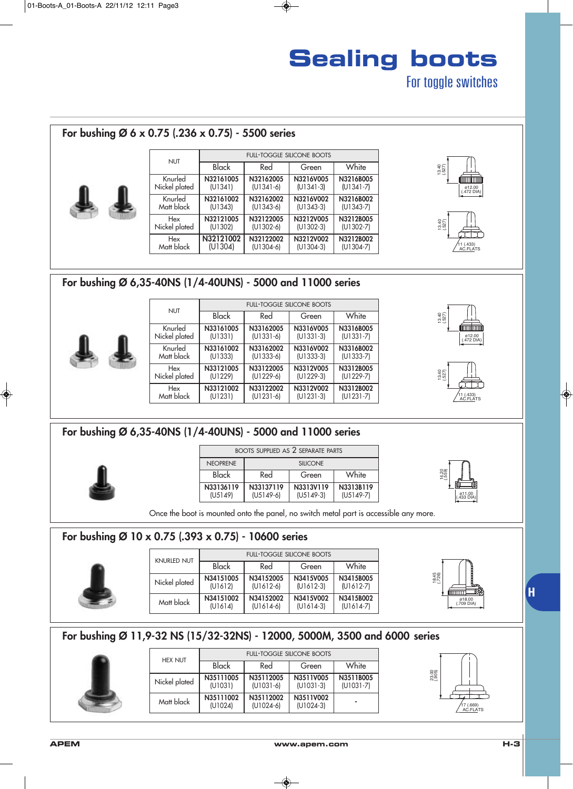#### For bushing Ø 6 x 0.75 (.236 x 0.75) - 5500 series 11 (.433) AC.FLATS 13.40 (.527) (.472 DIA) ø12.00 13.40 (.527) NUT Knurled Nickel plated Knurled Matt black FULL-TOGGLE SILICONE BOOTS **Black** N32161005 (U1341) N32162005 (U1341-6) N3216V005 (U1341-3) N3216B005 (U1341-7) N32161002 (U1343) N32162002 (U1343-6) N3216V002 (U1343-3) N3216B002 (U1343-7) Hex Nickel plated Hex Matt black N32121005 (U1302) N32122005 (U1302-6) N3212V005 (U1302-3) N3212B005 (U1302-7) N32121002 (U1304) N32122002 (U1304-6) N3212V002 (U1304-3) N3212B002 (U1304-7) Red Green White For bushing Ø 6,35-40NS (1/4-40UNS) - 5000 and 11000 series NUT FULL-TOGGLE SILICONE BOOTS



| <b>NUT</b>    | <b>FULL-TOGGLE SILICONE BOOTS</b> |             |             |               |  |
|---------------|-----------------------------------|-------------|-------------|---------------|--|
|               | Black                             | Red         | Green       | White         |  |
| Knurled       | N33161005                         | N33162005   | N3316V005   | N3316B005     |  |
| Nickel plated | (U1331)                           | $(U1331-6)$ | $(U1331-3)$ | $(U1331 - 7)$ |  |
| Knurled       | N33161002                         | N33162002   | N3316V002   | N3316B002     |  |
| Matt black    | (U1333)                           | $(U1333-6)$ | $(U1333-3)$ | $(U1333-7)$   |  |
| Hex           | N33121005                         | N33122005   | N3312V005   | N3312B005     |  |
| Nickel plated | (U1229)                           | $(U1229-6)$ | $(U1229-3)$ | $(U1229-7)$   |  |
| Hex           | N33121002                         | N33122002   | N3312V002   | N3312B002     |  |
| Matt black    | (U1231)                           | $(U1231-6)$ | $(U1231-3)$ | $(U1231 - 7)$ |  |





### For bushing Ø 6,35-40NS (1/4-40UNS) - 5000 and 11000 series

| <b>BOOTS SUPPLIED AS 2 SEPARATE PARTS</b> |                          |                          |  |  |  |
|-------------------------------------------|--------------------------|--------------------------|--|--|--|
| <b>NEOPRENE</b>                           | <b>SILICONE</b>          |                          |  |  |  |
| Black                                     | White<br>Red<br>Green    |                          |  |  |  |
| N33136119<br>(U5149)                      | N33137119<br>$(U5149-6)$ | N3313B119<br>$(U5149-7)$ |  |  |  |



Once the boot is mounted onto the panel, no switch metal part is accessible any more.

#### For bushing Ø 10 x 0.75 (.393 x 0.75) - 10600 series

| <b>KNURLED NUT</b> | <b>FULL-TOGGLE SILICONE BOOTS</b> |                          |                          |                          |  |  |
|--------------------|-----------------------------------|--------------------------|--------------------------|--------------------------|--|--|
|                    | Black                             | Red                      | Green                    | White                    |  |  |
| Nickel plated      | N34151005<br>(U1612)              | N34152005<br>$(U1612-6)$ | N3415V005<br>$(U1612-3)$ | N3415B005<br>$(U1612-7)$ |  |  |
| Matt black         | N34151002<br>(U1614)              | N34152002<br>$(U1614-6)$ | N3415V002<br>$(U1614-3)$ | N3415B002<br>$(U1614-7)$ |  |  |



| For bushing Ø 11,9-32 NS (15/32-32NS) - 12000, 5000M, 3500 and 6000 series |  |
|----------------------------------------------------------------------------|--|
|----------------------------------------------------------------------------|--|



| <b>HEX NUT</b> | <b>FULL-TOGGLE SILICONE BOOTS</b> |                          |                          |                            |  |
|----------------|-----------------------------------|--------------------------|--------------------------|----------------------------|--|
|                | Black                             | Red                      | Green                    | White                      |  |
| Nickel plated  | N35111005<br>(U1031)              | N35112005<br>$(U1031-6)$ | N3511V005<br>$(U1031-3)$ | N3511B005<br>$(U1031 - 7)$ |  |
| Matt black     | N35111002<br>(U1024)              | N35112002<br>$(U1024-6)$ | N3511V002<br>$(U1024-3)$ |                            |  |



**H**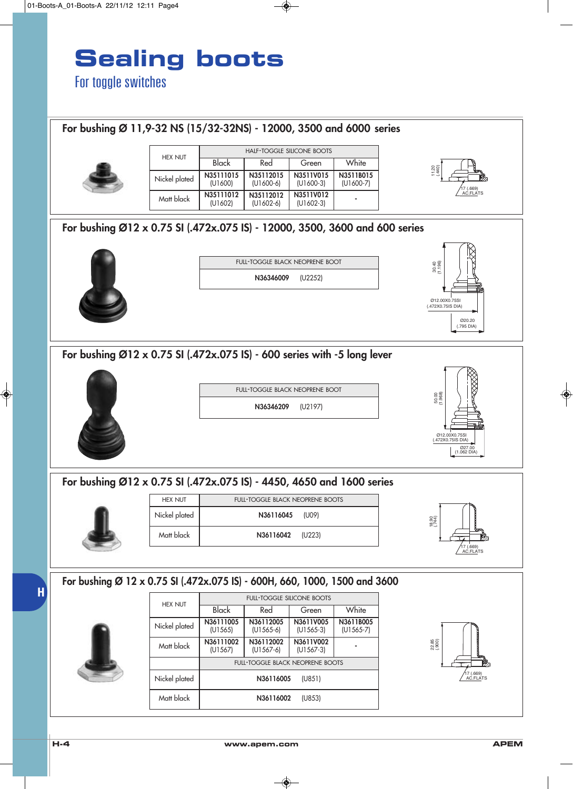

### For bushing Ø 11,9-32 NS (15/32-32NS) - 12000, 3500 and 6000 series



| <b>HEX NUT</b> | <b>HALF-TOGGLE SILICONE BOOTS</b> |                                                      |                          |                          |  |
|----------------|-----------------------------------|------------------------------------------------------|--------------------------|--------------------------|--|
|                | Black                             | Red                                                  | Green                    | White                    |  |
| Nickel plated  | N35111015<br>(U1600)              | N35112015<br>N3511V015<br>$(U1600-6)$<br>$(U1600-3)$ |                          | N3511B015<br>$(U1600-7)$ |  |
| Matt black     | N35111012<br>(U1602)              | N35112012<br>$(U1602-6)$                             | N3511V012<br>$(U1602-3)$ | ۰                        |  |

### 11.20 (.440) AC.FLATS 17 (.669)

### For bushing Ø12 x 0.75 SI (.472x.075 IS) - 12000, 3500, 3600 and 600 series



| <b>FULL-TOGGLE BLACK NEOPRENE BOOT</b> |         |  |  |
|----------------------------------------|---------|--|--|
| N36346009                              | (U2252) |  |  |
|                                        |         |  |  |



### For bushing Ø12 x 0.75 SI (.472x.075 IS) - 600 series with -5 long lever



FULL-TOGGLE BLACK NEOPRENE BOOT





### For bushing Ø12 x 0.75 SI (.472x.075 IS) - 4450, 4650 and 1600 series



| <b>HEX NUT</b> | <b>FULL-TOGGLE BLACK NEOPRENE BOOTS</b> |  |  |  |
|----------------|-----------------------------------------|--|--|--|
| Nickel plated  | N36116045 (U09)                         |  |  |  |
| Matt black     | N36116042 (U223)                        |  |  |  |



### **H** For bushing Ø 12 x 0.75 SI (.472x.075 IS) - 600H, 660, 1000, 1500 and 3600



| <b>HEX NUT</b> | <b>FULL-TOGGLE SILICONE BOOTS</b>                |                                         |                          |                          |  |  |
|----------------|--------------------------------------------------|-----------------------------------------|--------------------------|--------------------------|--|--|
|                | Black                                            | Red                                     | Green                    | White                    |  |  |
| Nickel plated  | N36111005<br>(U1565)                             | N36112005<br>N3611V005<br>$(U1565-6)$   |                          | N3611B005<br>$(U1565-7)$ |  |  |
| Matt black     | N36111002<br>N36112002<br>$(U1567-6)$<br>(U1567) |                                         | N3611V002<br>$(U1567-3)$ |                          |  |  |
|                |                                                  | <b>FULL-TOGGLE BLACK NEOPRENE BOOTS</b> |                          |                          |  |  |
| Nickel plated  |                                                  | N36116005                               | (U851)                   |                          |  |  |
| Matt black     |                                                  | N36116002                               | (U853)                   |                          |  |  |

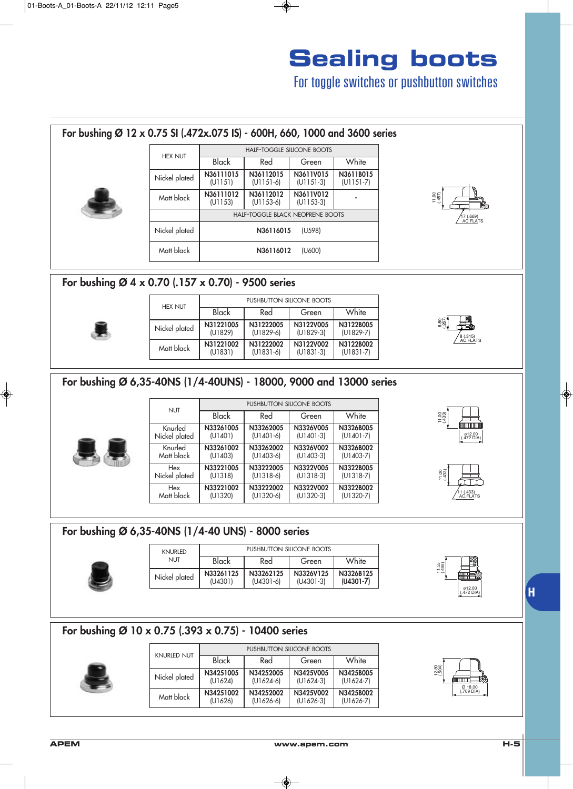For toggle switches or pushbutton switches

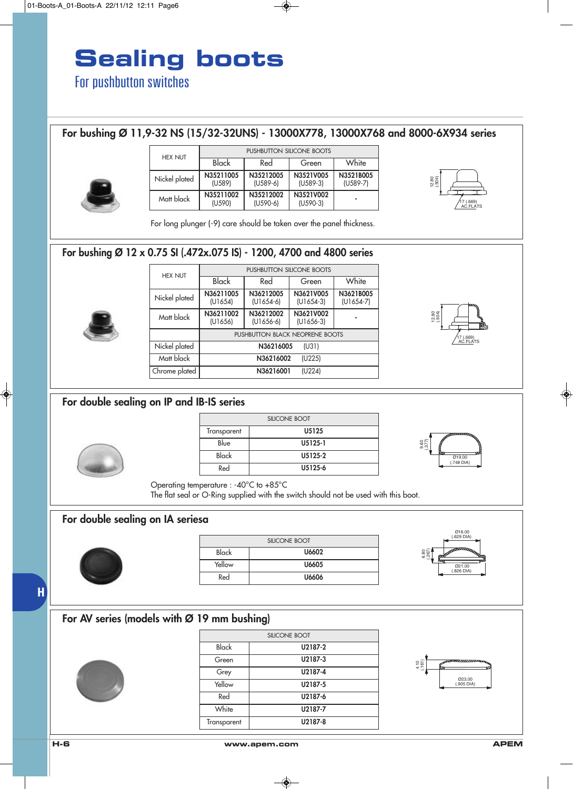### For bushing Ø 11,9-32 NS (15/32-32UNS) - 13000X778, 13000X768 and 8000-6X934 series

PUSHBUTTON SILICONE BOOTS

N3621B005 (U1654-7)



| <b>HEX NUT</b> | PUSHBUTTON SILICONE BOOTS |                         |                         |                         |  |
|----------------|---------------------------|-------------------------|-------------------------|-------------------------|--|
|                | Black                     | Red                     | Green                   | White                   |  |
| Nickel plated  | N35211005<br>(U589)       | N35212005<br>$(U589-6)$ | N3521V005<br>$(U589-3)$ | N3521B005<br>$(U589-7)$ |  |
| Matt black     | N35211002<br>(U590)       | N35212002<br>$(U590-6)$ | N3521V002<br>$(U590-3)$ |                         |  |



For long plunger (-9) care should be taken over the panel thickness.

#### For bushing Ø 12 x 0.75 SI (.472x.075 IS) - 1200, 4700 and 4800 series

|  | <b>HEX NUT</b> |                      |                          |                                 |                        |  |  |
|--|----------------|----------------------|--------------------------|---------------------------------|------------------------|--|--|
|  |                | <b>Black</b>         | Red                      | Green                           | White                  |  |  |
|  | Nickel plated  | N36211005<br>(U1654) | N36212005<br>$(U1654-6)$ | N3621V005<br>$(U1654-3)$        | N3621B00<br>$(U1654-7$ |  |  |
|  | Matt black     | N36211002<br>(U1656) | N36212002<br>$(U1656-6)$ | N3621V002<br>$(U1656-3)$        |                        |  |  |
|  |                |                      |                          | PUSHBUTTON BLACK NEOPRENE BOOTS |                        |  |  |
|  | Nickel plated  |                      | N36216005                | (U31)                           |                        |  |  |
|  | Matt black     |                      | N36216002                | (U225)                          |                        |  |  |
|  | Chrome plated  |                      | N36216001                | (U224)                          |                        |  |  |



#### For double sealing on IP and IB-IS series

| SILICONE BOOT |         |
|---------------|---------|
| Transparent   | U5125   |
| Blue          | U5125-1 |
| Black         | U5125-2 |
| Red           | U5125-6 |



Operating temperature : -40°C to +85°C

The flat seal or O-Ring supplied with the switch should not be used with this boot.

#### For double sealing on IA seriesa



| SILICONE BOOT |       |  |
|---------------|-------|--|
| Black         | U6602 |  |
| Yellow        | U6605 |  |
| Red           | U6606 |  |



**H**

### For AV series (models with Ø 19 mm bushing)



| SILICONE BOOT |         |
|---------------|---------|
| Black         | U2187-2 |
| Green         | U2187-3 |
| Grey          | U2187-4 |
| Yellow        | U2187-5 |
| Red           | U2187-6 |
| White         | U2187-7 |
| Transparent   | U2187-8 |

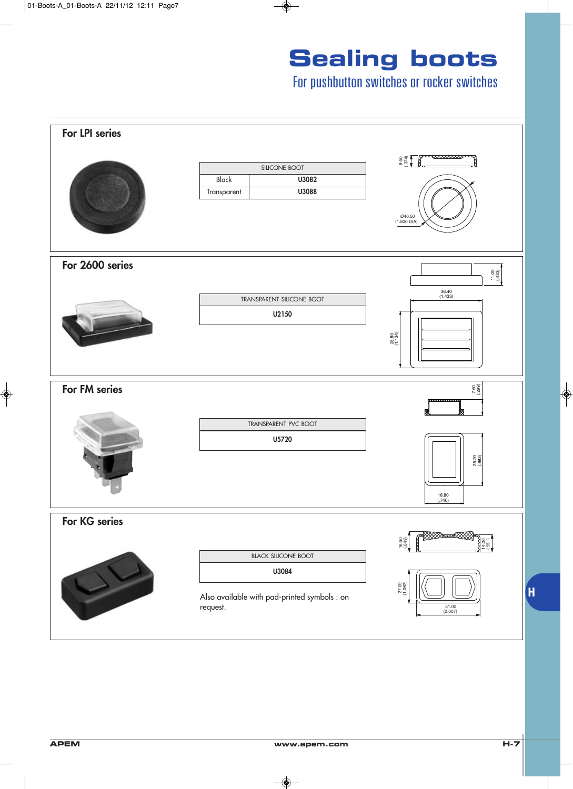For pushbutton switches or rocker switches